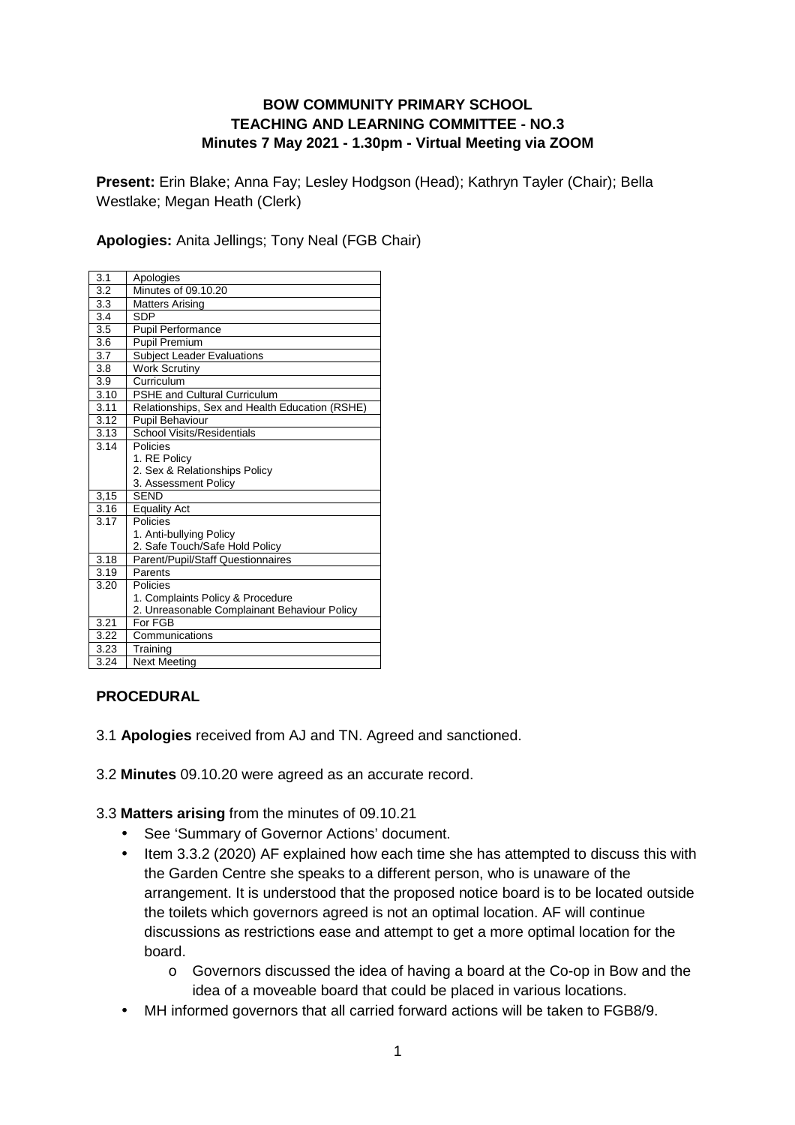#### **BOW COMMUNITY PRIMARY SCHOOL TEACHING AND LEARNING COMMITTEE - NO.3 Minutes 7 May 2021 - 1.30pm - Virtual Meeting via ZOOM**

**Present:** Erin Blake; Anna Fay; Lesley Hodgson (Head); Kathryn Tayler (Chair); Bella Westlake; Megan Heath (Clerk)

**Apologies:** Anita Jellings; Tony Neal (FGB Chair)

| 3.1              | Apologies                                      |
|------------------|------------------------------------------------|
| $3.\overline{2}$ | Minutes of 09.10.20                            |
| 3.3              | <b>Matters Arising</b>                         |
| 3.4              | SDP                                            |
| 3.5              | Pupil Performance                              |
| 3.6              | <b>Pupil Premium</b>                           |
| 3.7              | <b>Subject Leader Evaluations</b>              |
| 3.8              | Work Scrutiny                                  |
| 3.9              | Curriculum                                     |
| 3.10             | <b>PSHE and Cultural Curriculum</b>            |
| 3.11             | Relationships, Sex and Health Education (RSHE) |
| 3.12             | <b>Pupil Behaviour</b>                         |
| 3.13             | <b>School Visits/Residentials</b>              |
| 3.14             | Policies                                       |
|                  | 1. RE Policy                                   |
|                  | 2. Sex & Relationships Policy                  |
|                  | 3. Assessment Policy                           |
| 3,15             | <b>SEND</b>                                    |
| 3.16             | Equality Act                                   |
| 3.17             | Policies                                       |
|                  | 1. Anti-bullying Policy                        |
|                  | 2. Safe Touch/Safe Hold Policy                 |
| 3.18             | Parent/Pupil/Staff Questionnaires              |
| 3.19             | Parents                                        |
| 3.20             | Policies                                       |
|                  | 1. Complaints Policy & Procedure               |
|                  | 2. Unreasonable Complainant Behaviour Policy   |
| 3.21             | For FGB                                        |
| 3.22             | Communications                                 |
| 3.23             | Training                                       |
| 3.24             | <b>Next Meeting</b>                            |

#### **PROCEDURAL**

- 3.1 **Apologies** received from AJ and TN. Agreed and sanctioned.
- 3.2 **Minutes** 09.10.20 were agreed as an accurate record.

3.3 **Matters arising** from the minutes of 09.10.21

- See 'Summary of Governor Actions' document.
- Item 3.3.2 (2020) AF explained how each time she has attempted to discuss this with the Garden Centre she speaks to a different person, who is unaware of the arrangement. It is understood that the proposed notice board is to be located outside the toilets which governors agreed is not an optimal location. AF will continue discussions as restrictions ease and attempt to get a more optimal location for the board.
	- o Governors discussed the idea of having a board at the Co-op in Bow and the idea of a moveable board that could be placed in various locations.
- MH informed governors that all carried forward actions will be taken to FGB8/9.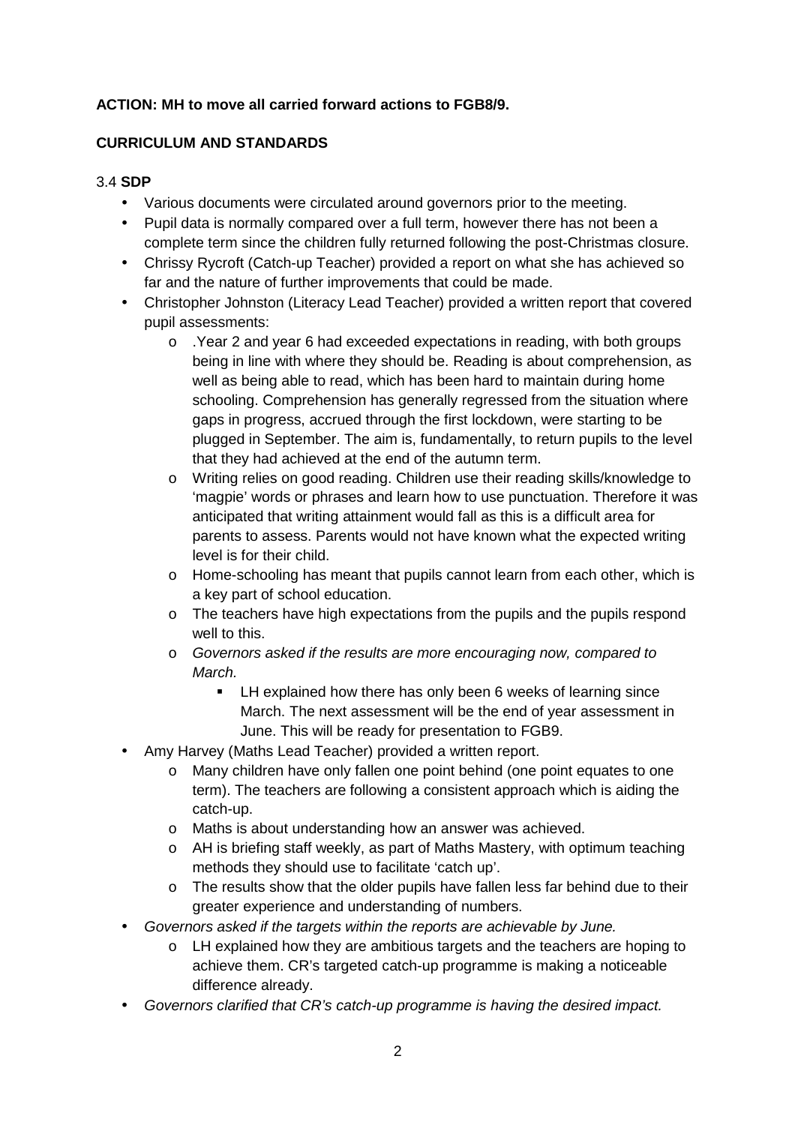# **ACTION: MH to move all carried forward actions to FGB8/9.**

#### **CURRICULUM AND STANDARDS**

#### 3.4 **SDP**

- Various documents were circulated around governors prior to the meeting.
- Pupil data is normally compared over a full term, however there has not been a complete term since the children fully returned following the post-Christmas closure.
- Chrissy Rycroft (Catch-up Teacher) provided a report on what she has achieved so far and the nature of further improvements that could be made.
- Christopher Johnston (Literacy Lead Teacher) provided a written report that covered pupil assessments:
	- o .Year 2 and year 6 had exceeded expectations in reading, with both groups being in line with where they should be. Reading is about comprehension, as well as being able to read, which has been hard to maintain during home schooling. Comprehension has generally regressed from the situation where gaps in progress, accrued through the first lockdown, were starting to be plugged in September. The aim is, fundamentally, to return pupils to the level that they had achieved at the end of the autumn term.
	- o Writing relies on good reading. Children use their reading skills/knowledge to 'magpie' words or phrases and learn how to use punctuation. Therefore it was anticipated that writing attainment would fall as this is a difficult area for parents to assess. Parents would not have known what the expected writing level is for their child.
	- o Home-schooling has meant that pupils cannot learn from each other, which is a key part of school education.
	- $\circ$  The teachers have high expectations from the pupils and the pupils respond well to this.
	- o Governors asked if the results are more encouraging now, compared to March.
		- **EXECT A** Explained how there has only been 6 weeks of learning since March. The next assessment will be the end of year assessment in June. This will be ready for presentation to FGB9.
- Amy Harvey (Maths Lead Teacher) provided a written report.
	- o Many children have only fallen one point behind (one point equates to one term). The teachers are following a consistent approach which is aiding the catch-up.
	- o Maths is about understanding how an answer was achieved.
	- o AH is briefing staff weekly, as part of Maths Mastery, with optimum teaching methods they should use to facilitate 'catch up'.
	- $\circ$  The results show that the older pupils have fallen less far behind due to their greater experience and understanding of numbers.
- Governors asked if the targets within the reports are achievable by June.
	- o LH explained how they are ambitious targets and the teachers are hoping to achieve them. CR's targeted catch-up programme is making a noticeable difference already.
- Governors clarified that CR's catch-up programme is having the desired impact.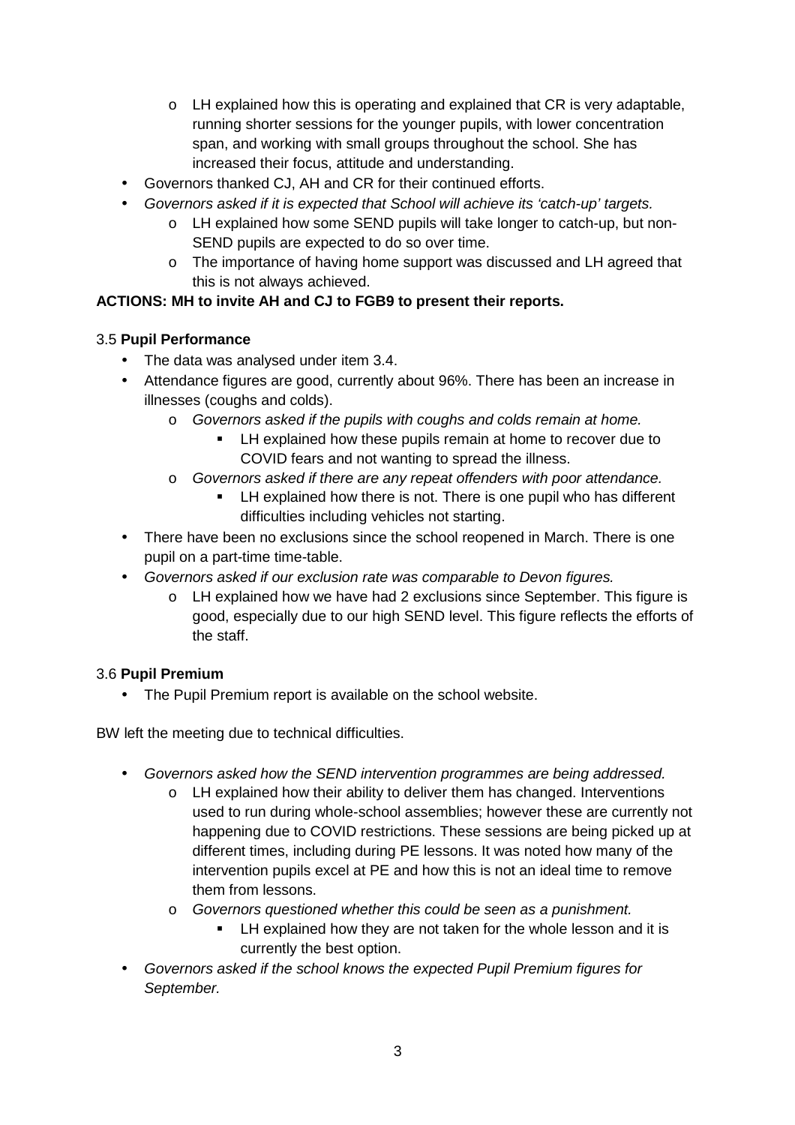- $\circ$  LH explained how this is operating and explained that CR is very adaptable, running shorter sessions for the younger pupils, with lower concentration span, and working with small groups throughout the school. She has increased their focus, attitude and understanding.
- Governors thanked CJ, AH and CR for their continued efforts.
- Governors asked if it is expected that School will achieve its 'catch-up' targets.
	- o LH explained how some SEND pupils will take longer to catch-up, but non-SEND pupils are expected to do so over time.
	- o The importance of having home support was discussed and LH agreed that this is not always achieved.

# **ACTIONS: MH to invite AH and CJ to FGB9 to present their reports.**

# 3.5 **Pupil Performance**

- The data was analysed under item 3.4.
- Attendance figures are good, currently about 96%. There has been an increase in illnesses (coughs and colds).
	- o Governors asked if the pupils with coughs and colds remain at home.
		- LH explained how these pupils remain at home to recover due to COVID fears and not wanting to spread the illness.
	- o Governors asked if there are any repeat offenders with poor attendance.
		- LH explained how there is not. There is one pupil who has different difficulties including vehicles not starting.
- There have been no exclusions since the school reopened in March. There is one pupil on a part-time time-table.
- Governors asked if our exclusion rate was comparable to Devon figures.
	- o LH explained how we have had 2 exclusions since September. This figure is good, especially due to our high SEND level. This figure reflects the efforts of the staff.

# 3.6 **Pupil Premium**

• The Pupil Premium report is available on the school website.

BW left the meeting due to technical difficulties.

- Governors asked how the SEND intervention programmes are being addressed.
	- o LH explained how their ability to deliver them has changed. Interventions used to run during whole-school assemblies; however these are currently not happening due to COVID restrictions. These sessions are being picked up at different times, including during PE lessons. It was noted how many of the intervention pupils excel at PE and how this is not an ideal time to remove them from lessons.
	- o Governors questioned whether this could be seen as a punishment.
		- LH explained how they are not taken for the whole lesson and it is currently the best option.
- Governors asked if the school knows the expected Pupil Premium figures for September.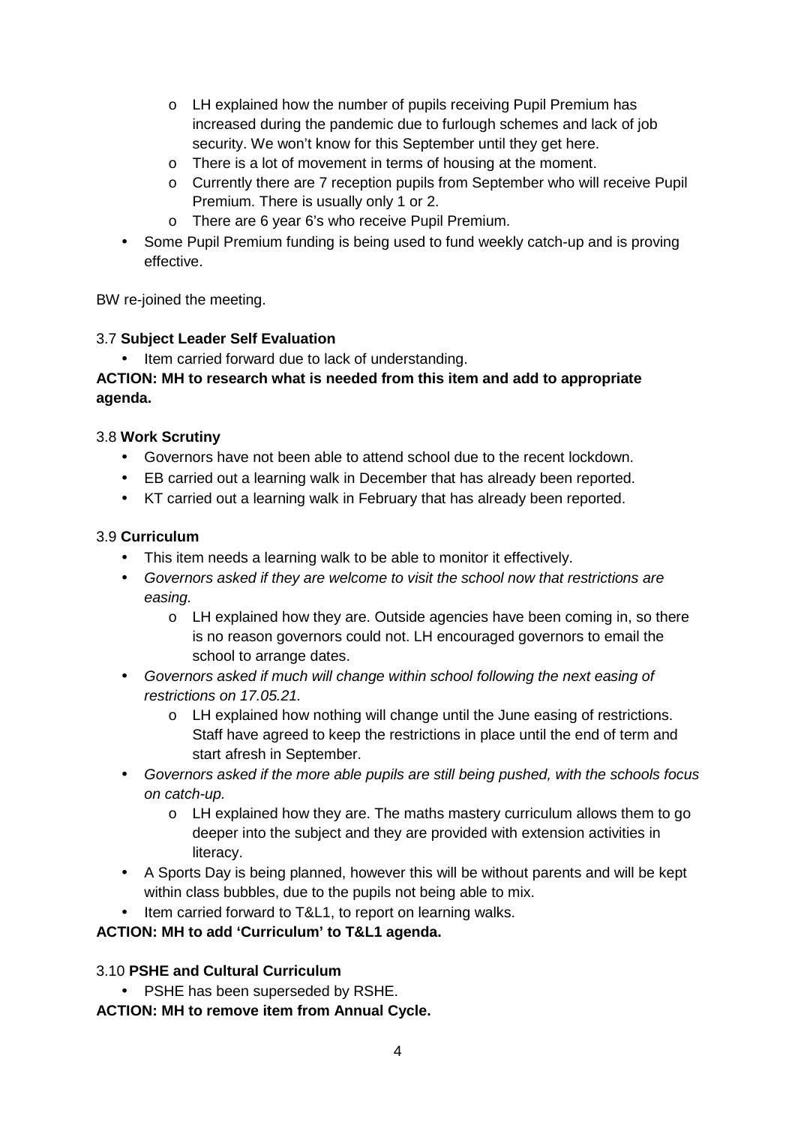- o LH explained how the number of pupils receiving Pupil Premium has increased during the pandemic due to furlough schemes and lack of job security. We won't know for this September until they get here.
- o There is a lot of movement in terms of housing at the moment.
- o Currently there are 7 reception pupils from September who will receive Pupil Premium. There is usually only 1 or 2.
- o There are 6 year 6's who receive Pupil Premium.
- Some Pupil Premium funding is being used to fund weekly catch-up and is proving effective.

BW re-joined the meeting.

#### 3.7 **Subject Leader Self Evaluation**

Item carried forward due to lack of understanding.

### **ACTION: MH to research what is needed from this item and add to appropriate agenda.**

#### 3.8 **Work Scrutiny**

- Governors have not been able to attend school due to the recent lockdown.
- EB carried out a learning walk in December that has already been reported.
- KT carried out a learning walk in February that has already been reported.

#### 3.9 **Curriculum**

- This item needs a learning walk to be able to monitor it effectively.
- Governors asked if they are welcome to visit the school now that restrictions are easing.
	- o LH explained how they are. Outside agencies have been coming in, so there is no reason governors could not. LH encouraged governors to email the school to arrange dates.
- Governors asked if much will change within school following the next easing of restrictions on 17.05.21.
	- o LH explained how nothing will change until the June easing of restrictions. Staff have agreed to keep the restrictions in place until the end of term and start afresh in September.
- Governors asked if the more able pupils are still being pushed, with the schools focus on catch-up.
	- $\circ$  LH explained how they are. The maths mastery curriculum allows them to go deeper into the subject and they are provided with extension activities in literacy.
- A Sports Day is being planned, however this will be without parents and will be kept within class bubbles, due to the pupils not being able to mix.
- Item carried forward to T&L1, to report on learning walks.

#### **ACTION: MH to add 'Curriculum' to T&L1 agenda.**

#### 3.10 **PSHE and Cultural Curriculum**

PSHE has been superseded by RSHE.

**ACTION: MH to remove item from Annual Cycle.**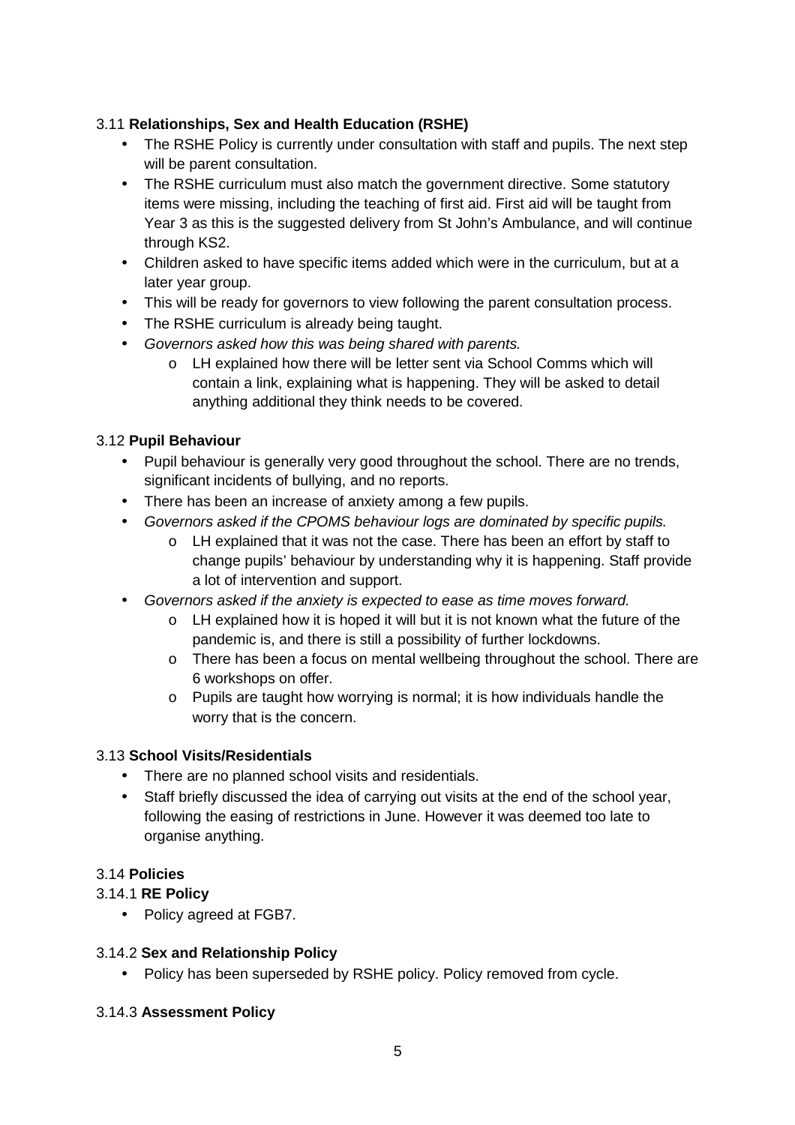## 3.11 **Relationships, Sex and Health Education (RSHE)**

- The RSHE Policy is currently under consultation with staff and pupils. The next step will be parent consultation.
- The RSHE curriculum must also match the government directive. Some statutory items were missing, including the teaching of first aid. First aid will be taught from Year 3 as this is the suggested delivery from St John's Ambulance, and will continue through KS2.
- Children asked to have specific items added which were in the curriculum, but at a later year group.
- This will be ready for governors to view following the parent consultation process.
- The RSHE curriculum is already being taught.
- Governors asked how this was being shared with parents.
	- o LH explained how there will be letter sent via School Comms which will contain a link, explaining what is happening. They will be asked to detail anything additional they think needs to be covered.

#### 3.12 **Pupil Behaviour**

- Pupil behaviour is generally very good throughout the school. There are no trends, significant incidents of bullying, and no reports.
- There has been an increase of anxiety among a few pupils.
- Governors asked if the CPOMS behaviour logs are dominated by specific pupils.
	- o LH explained that it was not the case. There has been an effort by staff to change pupils' behaviour by understanding why it is happening. Staff provide a lot of intervention and support.
- Governors asked if the anxiety is expected to ease as time moves forward.
	- $\circ$  LH explained how it is hoped it will but it is not known what the future of the pandemic is, and there is still a possibility of further lockdowns.
	- o There has been a focus on mental wellbeing throughout the school. There are 6 workshops on offer.
	- o Pupils are taught how worrying is normal; it is how individuals handle the worry that is the concern.

#### 3.13 **School Visits/Residentials**

- There are no planned school visits and residentials.
- Staff briefly discussed the idea of carrying out visits at the end of the school year, following the easing of restrictions in June. However it was deemed too late to organise anything.

#### 3.14 **Policies**

#### 3.14.1 **RE Policy**

• Policy agreed at FGB7.

#### 3.14.2 **Sex and Relationship Policy**

• Policy has been superseded by RSHE policy. Policy removed from cycle.

#### 3.14.3 **Assessment Policy**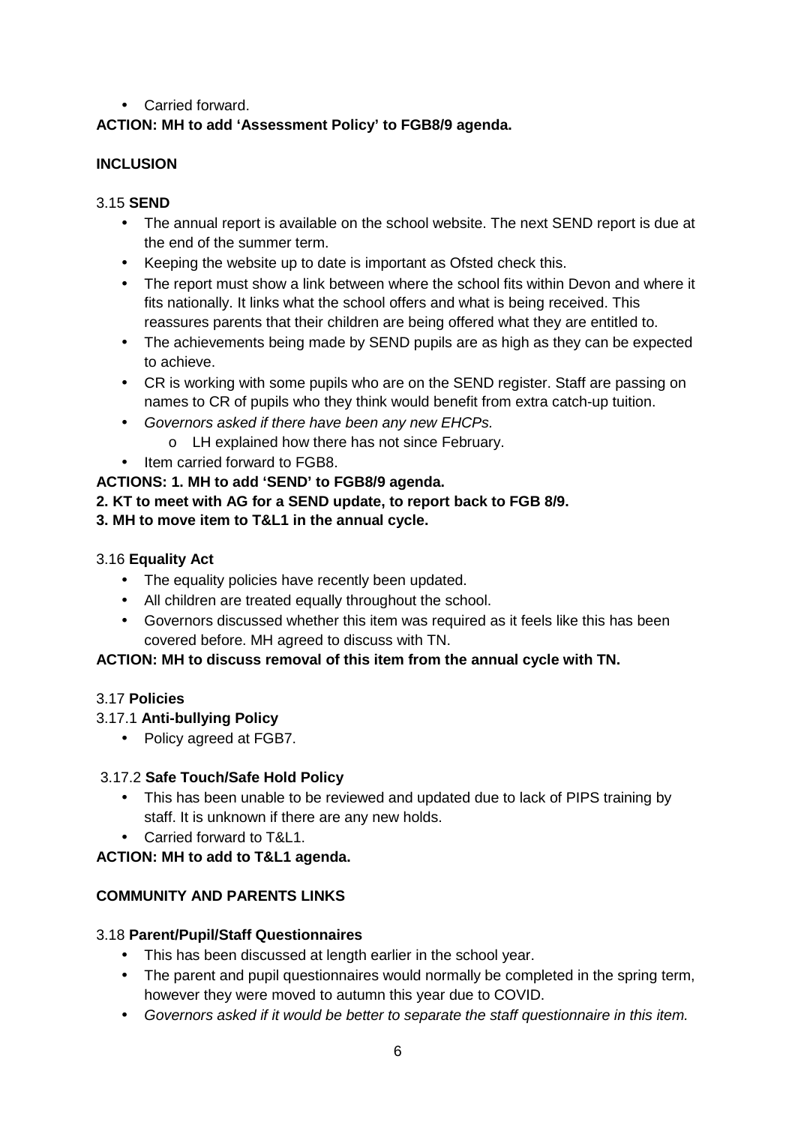### • Carried forward.

# **ACTION: MH to add 'Assessment Policy' to FGB8/9 agenda.**

#### **INCLUSION**

#### 3.15 **SEND**

- The annual report is available on the school website. The next SEND report is due at the end of the summer term.
- Keeping the website up to date is important as Ofsted check this.
- The report must show a link between where the school fits within Devon and where it fits nationally. It links what the school offers and what is being received. This reassures parents that their children are being offered what they are entitled to.
- The achievements being made by SEND pupils are as high as they can be expected to achieve.
- CR is working with some pupils who are on the SEND register. Staff are passing on names to CR of pupils who they think would benefit from extra catch-up tuition.
- Governors asked if there have been any new EHCPs.
	- o LH explained how there has not since February.
- Item carried forward to FGB8.

#### **ACTIONS: 1. MH to add 'SEND' to FGB8/9 agenda.**

#### **2. KT to meet with AG for a SEND update, to report back to FGB 8/9.**

#### **3. MH to move item to T&L1 in the annual cycle.**

#### 3.16 **Equality Act**

- The equality policies have recently been updated.
- All children are treated equally throughout the school.
- Governors discussed whether this item was required as it feels like this has been covered before. MH agreed to discuss with TN.

#### **ACTION: MH to discuss removal of this item from the annual cycle with TN.**

#### 3.17 **Policies**

#### 3.17.1 **Anti-bullying Policy**

• Policy agreed at FGB7.

#### 3.17.2 **Safe Touch/Safe Hold Policy**

- This has been unable to be reviewed and updated due to lack of PIPS training by staff. It is unknown if there are any new holds.
- Carried forward to T&L1.

#### **ACTION: MH to add to T&L1 agenda.**

#### **COMMUNITY AND PARENTS LINKS**

#### 3.18 **Parent/Pupil/Staff Questionnaires**

- This has been discussed at length earlier in the school year.
- The parent and pupil questionnaires would normally be completed in the spring term, however they were moved to autumn this year due to COVID.
- Governors asked if it would be better to separate the staff questionnaire in this item.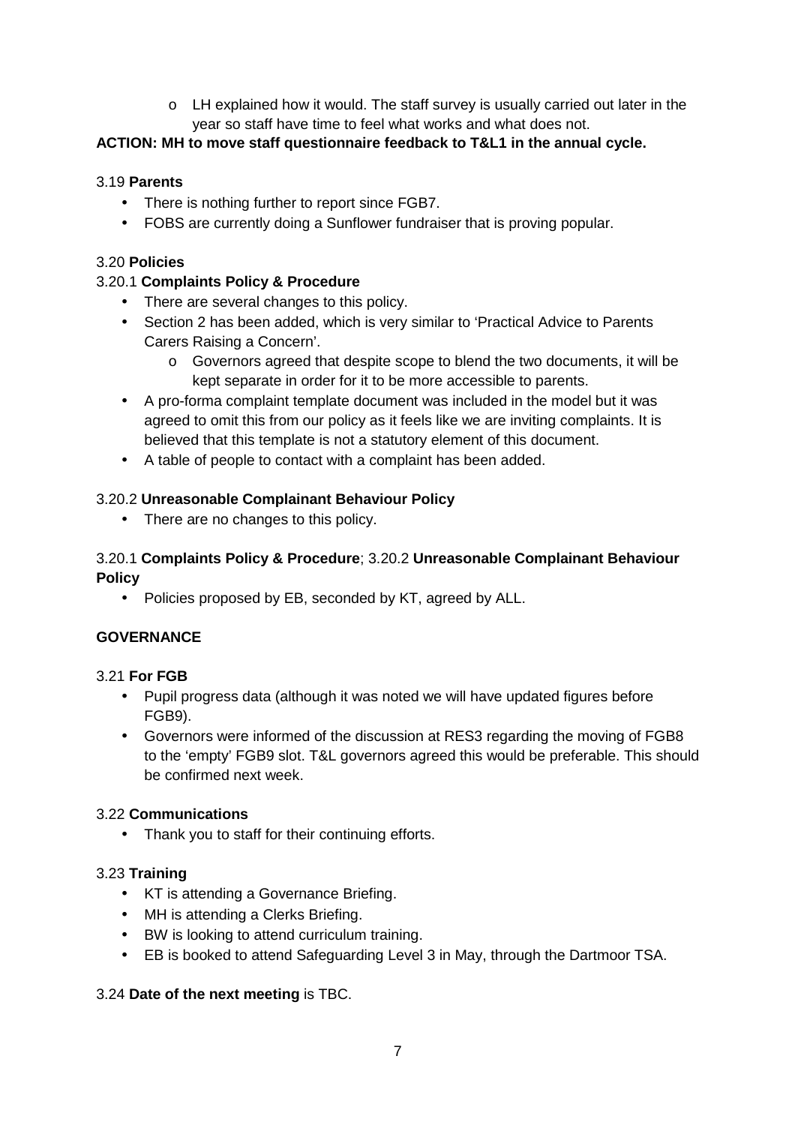$\circ$  LH explained how it would. The staff survey is usually carried out later in the year so staff have time to feel what works and what does not.

### **ACTION: MH to move staff questionnaire feedback to T&L1 in the annual cycle.**

### 3.19 **Parents**

- There is nothing further to report since FGB7.
- FOBS are currently doing a Sunflower fundraiser that is proving popular.

#### 3.20 **Policies**

### 3.20.1 **Complaints Policy & Procedure**

- There are several changes to this policy.
- Section 2 has been added, which is very similar to 'Practical Advice to Parents Carers Raising a Concern'.
	- o Governors agreed that despite scope to blend the two documents, it will be kept separate in order for it to be more accessible to parents.
- A pro-forma complaint template document was included in the model but it was agreed to omit this from our policy as it feels like we are inviting complaints. It is believed that this template is not a statutory element of this document.
- A table of people to contact with a complaint has been added.

#### 3.20.2 **Unreasonable Complainant Behaviour Policy**

• There are no changes to this policy.

#### 3.20.1 **Complaints Policy & Procedure**; 3.20.2 **Unreasonable Complainant Behaviour Policy**

• Policies proposed by EB, seconded by KT, agreed by ALL.

#### **GOVERNANCE**

#### 3.21 **For FGB**

- Pupil progress data (although it was noted we will have updated figures before FGB9).
- Governors were informed of the discussion at RES3 regarding the moving of FGB8 to the 'empty' FGB9 slot. T&L governors agreed this would be preferable. This should be confirmed next week.

#### 3.22 **Communications**

• Thank you to staff for their continuing efforts.

#### 3.23 **Training**

- KT is attending a Governance Briefing.
- MH is attending a Clerks Briefing.
- BW is looking to attend curriculum training.
- EB is booked to attend Safeguarding Level 3 in May, through the Dartmoor TSA.

#### 3.24 **Date of the next meeting** is TBC.